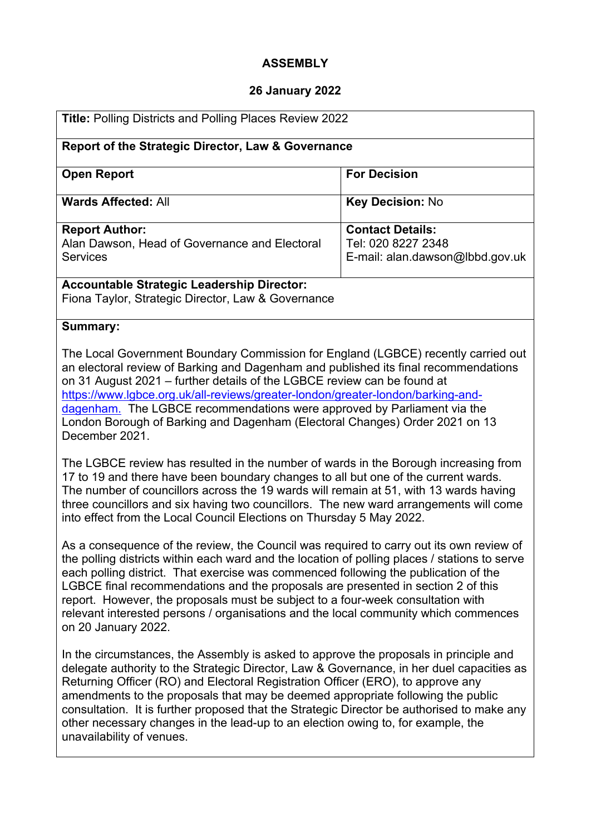# **ASSEMBLY**

# **26 January 2022**

| Title: Polling Districts and Polling Places Review 2022                                                                                                                                                                                                                                                                                                                                                                                                                                                                                                                 |                                                                                  |
|-------------------------------------------------------------------------------------------------------------------------------------------------------------------------------------------------------------------------------------------------------------------------------------------------------------------------------------------------------------------------------------------------------------------------------------------------------------------------------------------------------------------------------------------------------------------------|----------------------------------------------------------------------------------|
| Report of the Strategic Director, Law & Governance                                                                                                                                                                                                                                                                                                                                                                                                                                                                                                                      |                                                                                  |
| <b>Open Report</b>                                                                                                                                                                                                                                                                                                                                                                                                                                                                                                                                                      | <b>For Decision</b>                                                              |
| <b>Wards Affected: All</b>                                                                                                                                                                                                                                                                                                                                                                                                                                                                                                                                              | Key Decision: No                                                                 |
| <b>Report Author:</b><br>Alan Dawson, Head of Governance and Electoral<br><b>Services</b>                                                                                                                                                                                                                                                                                                                                                                                                                                                                               | <b>Contact Details:</b><br>Tel: 020 8227 2348<br>E-mail: alan.dawson@lbbd.gov.uk |
| <b>Accountable Strategic Leadership Director:</b><br>Fiona Taylor, Strategic Director, Law & Governance                                                                                                                                                                                                                                                                                                                                                                                                                                                                 |                                                                                  |
| Summary:                                                                                                                                                                                                                                                                                                                                                                                                                                                                                                                                                                |                                                                                  |
| The Local Government Boundary Commission for England (LGBCE) recently carried out<br>an electoral review of Barking and Dagenham and published its final recommendations<br>on 31 August 2021 – further details of the LGBCE review can be found at<br>https://www.lgbce.org.uk/all-reviews/greater-london/greater-london/barking-and-<br>dagenham. The LGBCE recommendations were approved by Parliament via the<br>London Borough of Barking and Dagenham (Electoral Changes) Order 2021 on 13<br>December 2021.                                                      |                                                                                  |
| The LGBCE review has resulted in the number of wards in the Borough increasing from<br>17 to 19 and there have been boundary changes to all but one of the current wards.<br>The number of councillors across the 19 wards will remain at 51, with 13 wards having<br>three councillors and six having two councillors. The new ward arrangements will come<br>into effect from the Local Council Elections on Thursday 5 May 2022.                                                                                                                                     |                                                                                  |
| As a consequence of the review, the Council was required to carry out its own review of<br>the polling districts within each ward and the location of polling places / stations to serve<br>each polling district. That exercise was commenced following the publication of the<br>LGBCE final recommendations and the proposals are presented in section 2 of this<br>report. However, the proposals must be subject to a four-week consultation with<br>relevant interested persons / organisations and the local community which commences<br>on 20 January 2022.    |                                                                                  |
| In the circumstances, the Assembly is asked to approve the proposals in principle and<br>delegate authority to the Strategic Director, Law & Governance, in her duel capacities as<br>Returning Officer (RO) and Electoral Registration Officer (ERO), to approve any<br>amendments to the proposals that may be deemed appropriate following the public<br>consultation. It is further proposed that the Strategic Director be authorised to make any<br>other necessary changes in the lead-up to an election owing to, for example, the<br>unavailability of venues. |                                                                                  |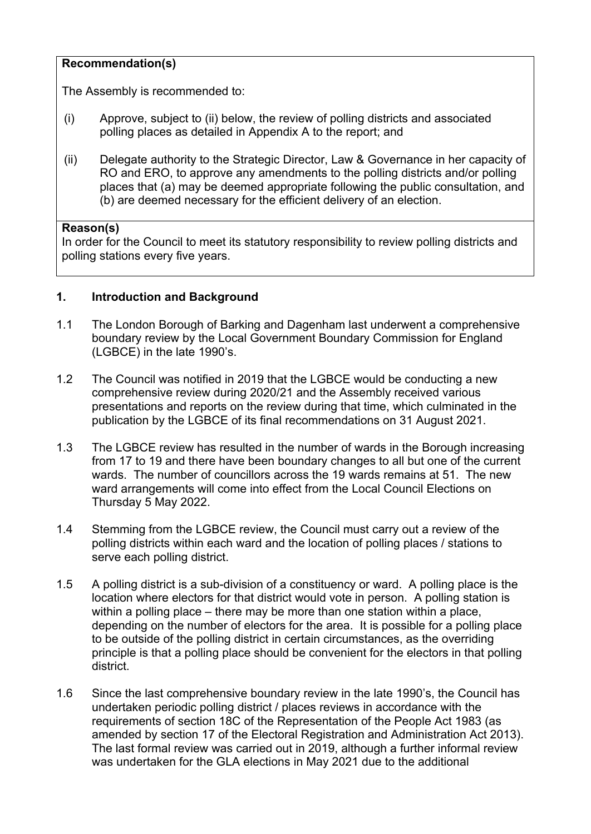#### **Recommendation(s)**

The Assembly is recommended to:

- (i) Approve, subject to (ii) below, the review of polling districts and associated polling places as detailed in Appendix A to the report; and
- (ii) Delegate authority to the Strategic Director, Law & Governance in her capacity of RO and ERO, to approve any amendments to the polling districts and/or polling places that (a) may be deemed appropriate following the public consultation, and (b) are deemed necessary for the efficient delivery of an election.

#### **Reason(s)**

In order for the Council to meet its statutory responsibility to review polling districts and polling stations every five years.

#### **1. Introduction and Background**

- 1.1 The London Borough of Barking and Dagenham last underwent a comprehensive boundary review by the Local Government Boundary Commission for England (LGBCE) in the late 1990's.
- 1.2 The Council was notified in 2019 that the LGBCE would be conducting a new comprehensive review during 2020/21 and the Assembly received various presentations and reports on the review during that time, which culminated in the publication by the LGBCE of its final recommendations on 31 August 2021.
- 1.3 The LGBCE review has resulted in the number of wards in the Borough increasing from 17 to 19 and there have been boundary changes to all but one of the current wards. The number of councillors across the 19 wards remains at 51. The new ward arrangements will come into effect from the Local Council Elections on Thursday 5 May 2022.
- 1.4 Stemming from the LGBCE review, the Council must carry out a review of the polling districts within each ward and the location of polling places / stations to serve each polling district.
- 1.5 A polling district is a sub-division of a constituency or ward. A polling place is the location where electors for that district would vote in person. A polling station is within a polling place – there may be more than one station within a place, depending on the number of electors for the area. It is possible for a polling place to be outside of the polling district in certain circumstances, as the overriding principle is that a polling place should be convenient for the electors in that polling district.
- 1.6 Since the last comprehensive boundary review in the late 1990's, the Council has undertaken periodic polling district / places reviews in accordance with the requirements of section 18C of the Representation of the People Act 1983 (as amended by section 17 of the Electoral Registration and Administration Act 2013). The last formal review was carried out in 2019, although a further informal review was undertaken for the GLA elections in May 2021 due to the additional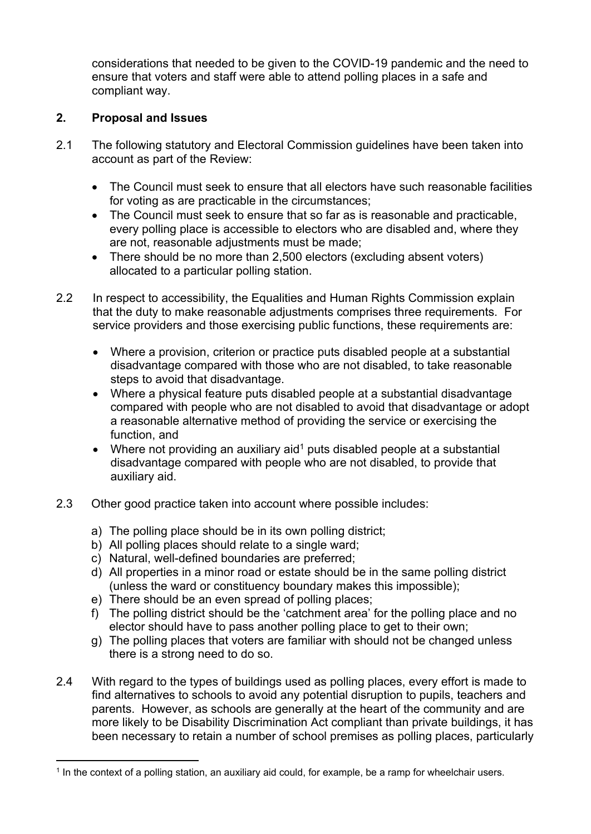considerations that needed to be given to the COVID-19 pandemic and the need to ensure that voters and staff were able to attend polling places in a safe and compliant way.

# **2. Proposal and Issues**

- 2.1 The following statutory and Electoral Commission guidelines have been taken into account as part of the Review:
	- The Council must seek to ensure that all electors have such reasonable facilities for voting as are practicable in the circumstances;
	- The Council must seek to ensure that so far as is reasonable and practicable, every polling place is accessible to electors who are disabled and, where they are not, reasonable adjustments must be made;
	- There should be no more than 2,500 electors (excluding absent voters) allocated to a particular polling station.
- 2.2 In respect to accessibility, the Equalities and Human Rights Commission explain that the duty to make reasonable adjustments comprises three requirements. For service providers and those exercising public functions, these requirements are:
	- Where a provision, criterion or practice puts disabled people at a substantial disadvantage compared with those who are not disabled, to take reasonable steps to avoid that disadvantage.
	- Where a physical feature puts disabled people at a substantial disadvantage compared with people who are not disabled to avoid that disadvantage or adopt a reasonable alternative method of providing the service or exercising the function, and
	- Where not providing an auxiliary aid<sup>1</sup> puts disabled people at a substantial disadvantage compared with people who are not disabled, to provide that auxiliary aid.
- 2.3 Other good practice taken into account where possible includes:
	- a) The polling place should be in its own polling district;
	- b) All polling places should relate to a single ward;
	- c) Natural, well-defined boundaries are preferred;
	- d) All properties in a minor road or estate should be in the same polling district (unless the ward or constituency boundary makes this impossible);
	- e) There should be an even spread of polling places;
	- f) The polling district should be the 'catchment area' for the polling place and no elector should have to pass another polling place to get to their own;
	- g) The polling places that voters are familiar with should not be changed unless there is a strong need to do so.
- 2.4 With regard to the types of buildings used as polling places, every effort is made to find alternatives to schools to avoid any potential disruption to pupils, teachers and parents. However, as schools are generally at the heart of the community and are more likely to be Disability Discrimination Act compliant than private buildings, it has been necessary to retain a number of school premises as polling places, particularly

 $^{\rm 1}$  In the context of a polling station, an auxiliary aid could, for example, be a ramp for wheelchair users.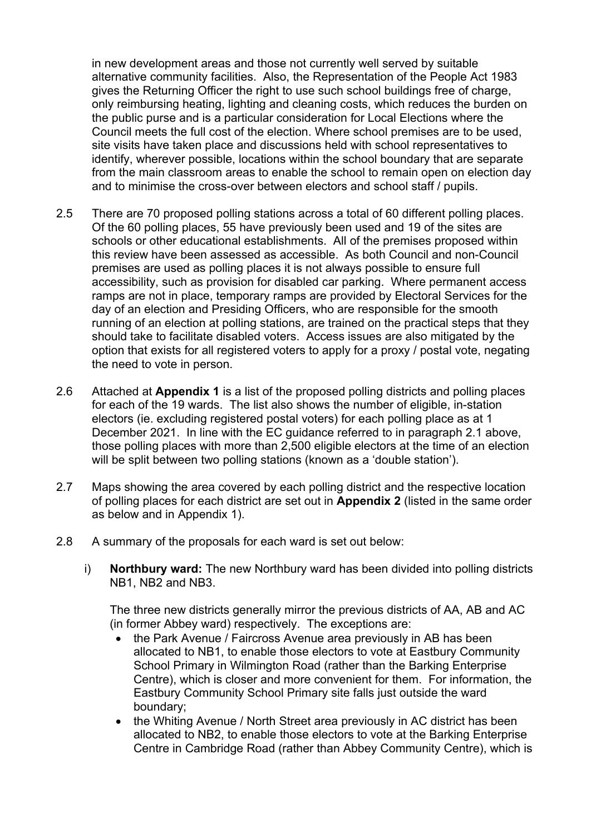in new development areas and those not currently well served by suitable alternative community facilities. Also, the Representation of the People Act 1983 gives the Returning Officer the right to use such school buildings free of charge, only reimbursing heating, lighting and cleaning costs, which reduces the burden on the public purse and is a particular consideration for Local Elections where the Council meets the full cost of the election. Where school premises are to be used, site visits have taken place and discussions held with school representatives to identify, wherever possible, locations within the school boundary that are separate from the main classroom areas to enable the school to remain open on election day and to minimise the cross-over between electors and school staff / pupils.

- 2.5 There are 70 proposed polling stations across a total of 60 different polling places. Of the 60 polling places, 55 have previously been used and 19 of the sites are schools or other educational establishments. All of the premises proposed within this review have been assessed as accessible. As both Council and non-Council premises are used as polling places it is not always possible to ensure full accessibility, such as provision for disabled car parking. Where permanent access ramps are not in place, temporary ramps are provided by Electoral Services for the day of an election and Presiding Officers, who are responsible for the smooth running of an election at polling stations, are trained on the practical steps that they should take to facilitate disabled voters. Access issues are also mitigated by the option that exists for all registered voters to apply for a proxy / postal vote, negating the need to vote in person.
- 2.6 Attached at **Appendix 1** is a list of the proposed polling districts and polling places for each of the 19 wards. The list also shows the number of eligible, in-station electors (ie. excluding registered postal voters) for each polling place as at 1 December 2021. In line with the EC guidance referred to in paragraph 2.1 above, those polling places with more than 2,500 eligible electors at the time of an election will be split between two polling stations (known as a 'double station').
- 2.7 Maps showing the area covered by each polling district and the respective location of polling places for each district are set out in **Appendix 2** (listed in the same order as below and in Appendix 1).
- 2.8 A summary of the proposals for each ward is set out below:
	- i) **Northbury ward:** The new Northbury ward has been divided into polling districts NB1, NB2 and NB3.

The three new districts generally mirror the previous districts of AA, AB and AC (in former Abbey ward) respectively. The exceptions are:

- the Park Avenue / Faircross Avenue area previously in AB has been allocated to NB1, to enable those electors to vote at Eastbury Community School Primary in Wilmington Road (rather than the Barking Enterprise Centre), which is closer and more convenient for them. For information, the Eastbury Community School Primary site falls just outside the ward boundary;
- the Whiting Avenue / North Street area previously in AC district has been allocated to NB2, to enable those electors to vote at the Barking Enterprise Centre in Cambridge Road (rather than Abbey Community Centre), which is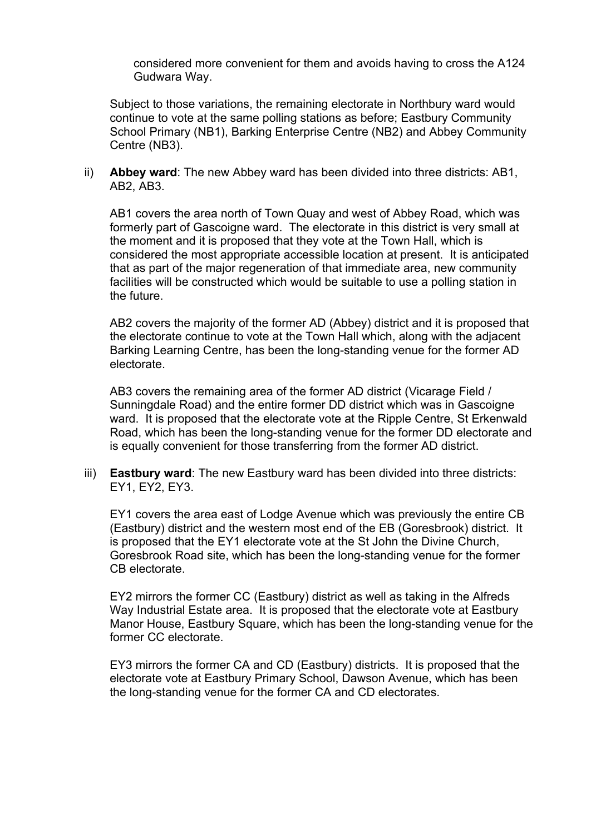considered more convenient for them and avoids having to cross the A124 Gudwara Way.

Subject to those variations, the remaining electorate in Northbury ward would continue to vote at the same polling stations as before; Eastbury Community School Primary (NB1), Barking Enterprise Centre (NB2) and Abbey Community Centre (NB3).

ii) **Abbey ward**: The new Abbey ward has been divided into three districts: AB1, AB2, AB3.

AB1 covers the area north of Town Quay and west of Abbey Road, which was formerly part of Gascoigne ward. The electorate in this district is very small at the moment and it is proposed that they vote at the Town Hall, which is considered the most appropriate accessible location at present. It is anticipated that as part of the major regeneration of that immediate area, new community facilities will be constructed which would be suitable to use a polling station in the future.

AB2 covers the majority of the former AD (Abbey) district and it is proposed that the electorate continue to vote at the Town Hall which, along with the adjacent Barking Learning Centre, has been the long-standing venue for the former AD electorate.

AB3 covers the remaining area of the former AD district (Vicarage Field / Sunningdale Road) and the entire former DD district which was in Gascoigne ward. It is proposed that the electorate vote at the Ripple Centre, St Erkenwald Road, which has been the long-standing venue for the former DD electorate and is equally convenient for those transferring from the former AD district.

iii) **Eastbury ward**: The new Eastbury ward has been divided into three districts: EY1, EY2, EY3.

EY1 covers the area east of Lodge Avenue which was previously the entire CB (Eastbury) district and the western most end of the EB (Goresbrook) district. It is proposed that the EY1 electorate vote at the St John the Divine Church, Goresbrook Road site, which has been the long-standing venue for the former CB electorate.

EY2 mirrors the former CC (Eastbury) district as well as taking in the Alfreds Way Industrial Estate area. It is proposed that the electorate vote at Eastbury Manor House, Eastbury Square, which has been the long-standing venue for the former CC electorate.

EY3 mirrors the former CA and CD (Eastbury) districts. It is proposed that the electorate vote at Eastbury Primary School, Dawson Avenue, which has been the long-standing venue for the former CA and CD electorates.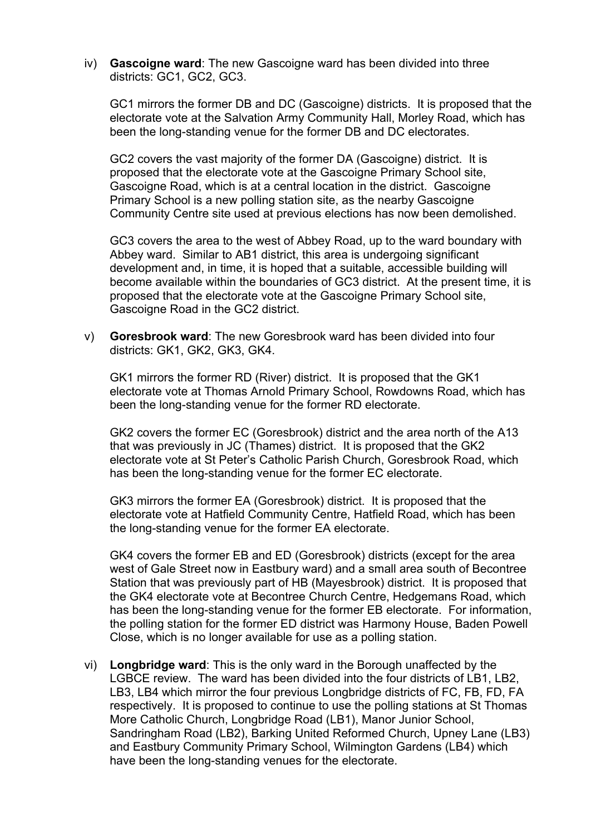iv) **Gascoigne ward**: The new Gascoigne ward has been divided into three districts: GC1, GC2, GC3.

GC1 mirrors the former DB and DC (Gascoigne) districts. It is proposed that the electorate vote at the Salvation Army Community Hall, Morley Road, which has been the long-standing venue for the former DB and DC electorates.

GC2 covers the vast majority of the former DA (Gascoigne) district. It is proposed that the electorate vote at the Gascoigne Primary School site, Gascoigne Road, which is at a central location in the district. Gascoigne Primary School is a new polling station site, as the nearby Gascoigne Community Centre site used at previous elections has now been demolished.

GC3 covers the area to the west of Abbey Road, up to the ward boundary with Abbey ward. Similar to AB1 district, this area is undergoing significant development and, in time, it is hoped that a suitable, accessible building will become available within the boundaries of GC3 district. At the present time, it is proposed that the electorate vote at the Gascoigne Primary School site, Gascoigne Road in the GC2 district.

v) **Goresbrook ward**: The new Goresbrook ward has been divided into four districts: GK1, GK2, GK3, GK4.

GK1 mirrors the former RD (River) district. It is proposed that the GK1 electorate vote at Thomas Arnold Primary School, Rowdowns Road, which has been the long-standing venue for the former RD electorate.

GK2 covers the former EC (Goresbrook) district and the area north of the A13 that was previously in JC (Thames) district. It is proposed that the GK2 electorate vote at St Peter's Catholic Parish Church, Goresbrook Road, which has been the long-standing venue for the former EC electorate.

GK3 mirrors the former EA (Goresbrook) district. It is proposed that the electorate vote at Hatfield Community Centre, Hatfield Road, which has been the long-standing venue for the former EA electorate.

GK4 covers the former EB and ED (Goresbrook) districts (except for the area west of Gale Street now in Eastbury ward) and a small area south of Becontree Station that was previously part of HB (Mayesbrook) district. It is proposed that the GK4 electorate vote at Becontree Church Centre, Hedgemans Road, which has been the long-standing venue for the former EB electorate. For information, the polling station for the former ED district was Harmony House, Baden Powell Close, which is no longer available for use as a polling station.

vi) **Longbridge ward**: This is the only ward in the Borough unaffected by the LGBCE review. The ward has been divided into the four districts of LB1, LB2, LB3, LB4 which mirror the four previous Longbridge districts of FC, FB, FD, FA respectively. It is proposed to continue to use the polling stations at St Thomas More Catholic Church, Longbridge Road (LB1), Manor Junior School, Sandringham Road (LB2), Barking United Reformed Church, Upney Lane (LB3) and Eastbury Community Primary School, Wilmington Gardens (LB4) which have been the long-standing venues for the electorate.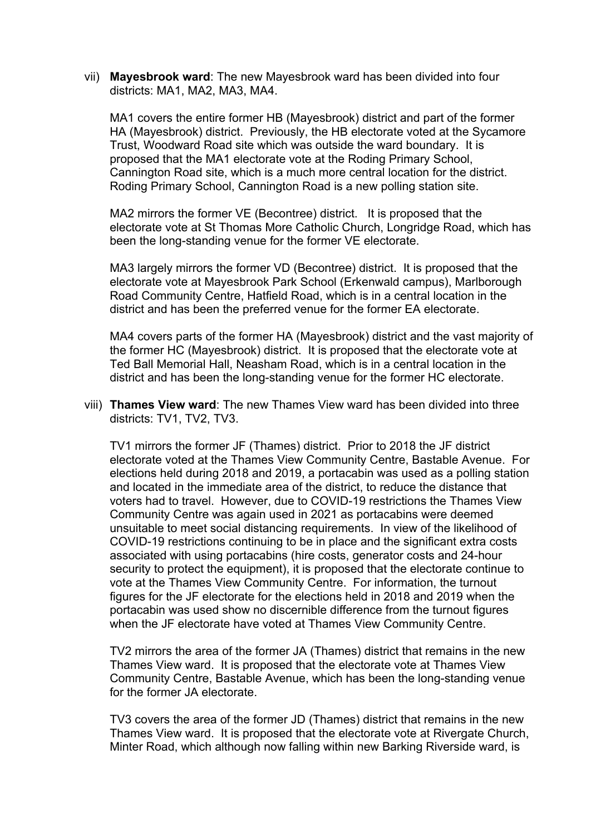vii) **Mayesbrook ward**: The new Mayesbrook ward has been divided into four districts: MA1, MA2, MA3, MA4.

MA1 covers the entire former HB (Mayesbrook) district and part of the former HA (Mayesbrook) district. Previously, the HB electorate voted at the Sycamore Trust, Woodward Road site which was outside the ward boundary. It is proposed that the MA1 electorate vote at the Roding Primary School, Cannington Road site, which is a much more central location for the district. Roding Primary School, Cannington Road is a new polling station site.

MA2 mirrors the former VE (Becontree) district. It is proposed that the electorate vote at St Thomas More Catholic Church, Longridge Road, which has been the long-standing venue for the former VE electorate.

MA3 largely mirrors the former VD (Becontree) district. It is proposed that the electorate vote at Mayesbrook Park School (Erkenwald campus), Marlborough Road Community Centre, Hatfield Road, which is in a central location in the district and has been the preferred venue for the former EA electorate.

MA4 covers parts of the former HA (Mayesbrook) district and the vast majority of the former HC (Mayesbrook) district. It is proposed that the electorate vote at Ted Ball Memorial Hall, Neasham Road, which is in a central location in the district and has been the long-standing venue for the former HC electorate.

viii) **Thames View ward**: The new Thames View ward has been divided into three districts: TV1, TV2, TV3.

TV1 mirrors the former JF (Thames) district. Prior to 2018 the JF district electorate voted at the Thames View Community Centre, Bastable Avenue. For elections held during 2018 and 2019, a portacabin was used as a polling station and located in the immediate area of the district, to reduce the distance that voters had to travel. However, due to COVID-19 restrictions the Thames View Community Centre was again used in 2021 as portacabins were deemed unsuitable to meet social distancing requirements. In view of the likelihood of COVID-19 restrictions continuing to be in place and the significant extra costs associated with using portacabins (hire costs, generator costs and 24-hour security to protect the equipment), it is proposed that the electorate continue to vote at the Thames View Community Centre. For information, the turnout figures for the JF electorate for the elections held in 2018 and 2019 when the portacabin was used show no discernible difference from the turnout figures when the JF electorate have voted at Thames View Community Centre.

TV2 mirrors the area of the former JA (Thames) district that remains in the new Thames View ward. It is proposed that the electorate vote at Thames View Community Centre, Bastable Avenue, which has been the long-standing venue for the former JA electorate.

TV3 covers the area of the former JD (Thames) district that remains in the new Thames View ward. It is proposed that the electorate vote at Rivergate Church, Minter Road, which although now falling within new Barking Riverside ward, is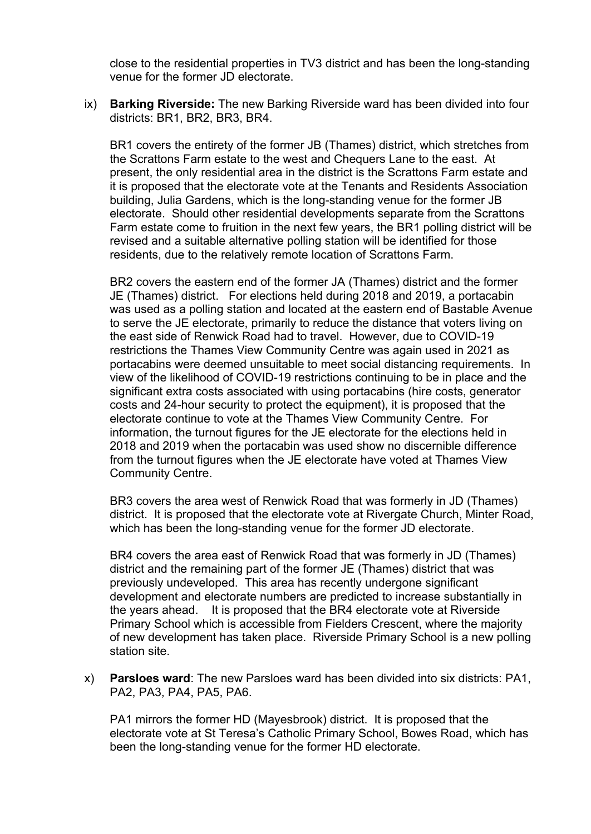close to the residential properties in TV3 district and has been the long-standing venue for the former JD electorate.

ix) **Barking Riverside:** The new Barking Riverside ward has been divided into four districts: BR1, BR2, BR3, BR4.

BR1 covers the entirety of the former JB (Thames) district, which stretches from the Scrattons Farm estate to the west and Chequers Lane to the east. At present, the only residential area in the district is the Scrattons Farm estate and it is proposed that the electorate vote at the Tenants and Residents Association building, Julia Gardens, which is the long-standing venue for the former JB electorate. Should other residential developments separate from the Scrattons Farm estate come to fruition in the next few years, the BR1 polling district will be revised and a suitable alternative polling station will be identified for those residents, due to the relatively remote location of Scrattons Farm.

BR2 covers the eastern end of the former JA (Thames) district and the former JE (Thames) district. For elections held during 2018 and 2019, a portacabin was used as a polling station and located at the eastern end of Bastable Avenue to serve the JE electorate, primarily to reduce the distance that voters living on the east side of Renwick Road had to travel. However, due to COVID-19 restrictions the Thames View Community Centre was again used in 2021 as portacabins were deemed unsuitable to meet social distancing requirements. In view of the likelihood of COVID-19 restrictions continuing to be in place and the significant extra costs associated with using portacabins (hire costs, generator costs and 24-hour security to protect the equipment), it is proposed that the electorate continue to vote at the Thames View Community Centre. For information, the turnout figures for the JE electorate for the elections held in 2018 and 2019 when the portacabin was used show no discernible difference from the turnout figures when the JE electorate have voted at Thames View Community Centre.

BR3 covers the area west of Renwick Road that was formerly in JD (Thames) district. It is proposed that the electorate vote at Rivergate Church, Minter Road, which has been the long-standing venue for the former JD electorate.

BR4 covers the area east of Renwick Road that was formerly in JD (Thames) district and the remaining part of the former JE (Thames) district that was previously undeveloped. This area has recently undergone significant development and electorate numbers are predicted to increase substantially in the years ahead. It is proposed that the BR4 electorate vote at Riverside Primary School which is accessible from Fielders Crescent, where the majority of new development has taken place. Riverside Primary School is a new polling station site.

x) **Parsloes ward**: The new Parsloes ward has been divided into six districts: PA1, PA2, PA3, PA4, PA5, PA6.

PA1 mirrors the former HD (Mayesbrook) district. It is proposed that the electorate vote at St Teresa's Catholic Primary School, Bowes Road, which has been the long-standing venue for the former HD electorate.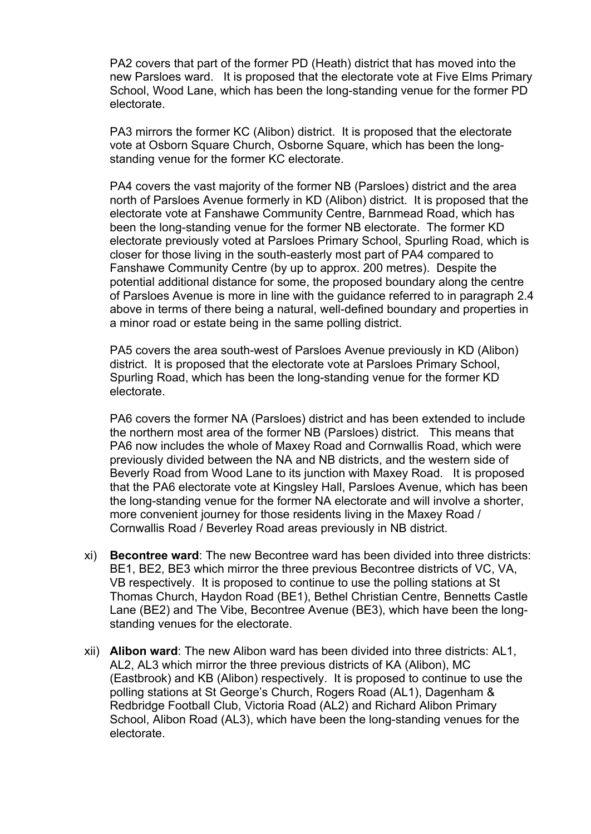PA2 covers that part of the former PD (Heath) district that has moved into the new Parsloes ward. It is proposed that the electorate vote at Five Elms Primary School, Wood Lane, which has been the long-standing venue for the former PD electorate.

PA3 mirrors the former KC (Alibon) district. It is proposed that the electorate vote at Osborn Square Church, Osborne Square, which has been the longstanding venue for the former KC electorate.

PA4 covers the vast majority of the former NB (Parsloes) district and the area north of Parsloes Avenue formerly in KD (Alibon) district. It is proposed that the electorate vote at Fanshawe Community Centre, Barnmead Road, which has been the long-standing venue for the former NB electorate. The former KD electorate previously voted at Parsloes Primary School, Spurling Road, which is closer for those living in the south-easterly most part of PA4 compared to Fanshawe Community Centre (by up to approx. 200 metres). Despite the potential additional distance for some, the proposed boundary along the centre of Parsloes Avenue is more in line with the guidance referred to in paragraph 2.4 above in terms of there being a natural, well-defined boundary and properties in a minor road or estate being in the same polling district.

PA5 covers the area south-west of Parsloes Avenue previously in KD (Alibon) district. It is proposed that the electorate vote at Parsloes Primary School, Spurling Road, which has been the long-standing venue for the former KD electorate.

PA6 covers the former NA (Parsloes) district and has been extended to include the northern most area of the former NB (Parsloes) district. This means that PA6 now includes the whole of Maxey Road and Cornwallis Road, which were previously divided between the NA and NB districts, and the western side of Beverly Road from Wood Lane to its junction with Maxey Road. It is proposed that the PA6 electorate vote at Kingsley Hall, Parsloes Avenue, which has been the long-standing venue for the former NA electorate and will involve a shorter, more convenient journey for those residents living in the Maxey Road / Cornwallis Road / Beverley Road areas previously in NB district.

- xi) **Becontree ward**: The new Becontree ward has been divided into three districts: BE1, BE2, BE3 which mirror the three previous Becontree districts of VC, VA, VB respectively. It is proposed to continue to use the polling stations at St Thomas Church, Haydon Road (BE1), Bethel Christian Centre, Bennetts Castle Lane (BE2) and The Vibe, Becontree Avenue (BE3), which have been the longstanding venues for the electorate.
- xii) **Alibon ward**: The new Alibon ward has been divided into three districts: AL1, AL2, AL3 which mirror the three previous districts of KA (Alibon), MC (Eastbrook) and KB (Alibon) respectively. It is proposed to continue to use the polling stations at St George's Church, Rogers Road (AL1), Dagenham & Redbridge Football Club, Victoria Road (AL2) and Richard Alibon Primary School, Alibon Road (AL3), which have been the long-standing venues for the electorate.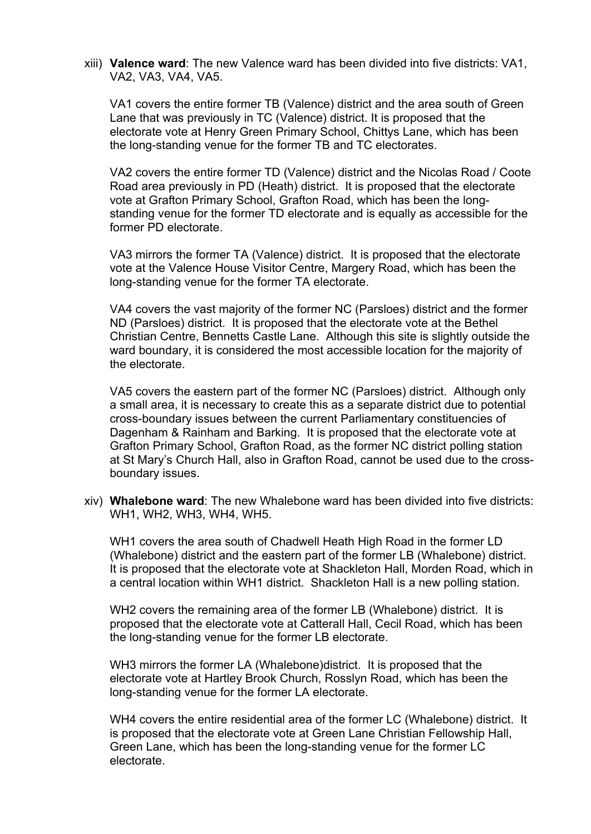xiii) **Valence ward**: The new Valence ward has been divided into five districts: VA1, VA2, VA3, VA4, VA5.

VA1 covers the entire former TB (Valence) district and the area south of Green Lane that was previously in TC (Valence) district. It is proposed that the electorate vote at Henry Green Primary School, Chittys Lane, which has been the long-standing venue for the former TB and TC electorates.

VA2 covers the entire former TD (Valence) district and the Nicolas Road / Coote Road area previously in PD (Heath) district. It is proposed that the electorate vote at Grafton Primary School, Grafton Road, which has been the longstanding venue for the former TD electorate and is equally as accessible for the former PD electorate.

VA3 mirrors the former TA (Valence) district. It is proposed that the electorate vote at the Valence House Visitor Centre, Margery Road, which has been the long-standing venue for the former TA electorate.

VA4 covers the vast majority of the former NC (Parsloes) district and the former ND (Parsloes) district. It is proposed that the electorate vote at the Bethel Christian Centre, Bennetts Castle Lane. Although this site is slightly outside the ward boundary, it is considered the most accessible location for the majority of the electorate.

VA5 covers the eastern part of the former NC (Parsloes) district. Although only a small area, it is necessary to create this as a separate district due to potential cross-boundary issues between the current Parliamentary constituencies of Dagenham & Rainham and Barking. It is proposed that the electorate vote at Grafton Primary School, Grafton Road, as the former NC district polling station at St Mary's Church Hall, also in Grafton Road, cannot be used due to the crossboundary issues.

xiv) **Whalebone ward**: The new Whalebone ward has been divided into five districts: WH1, WH2, WH3, WH4, WH5.

WH1 covers the area south of Chadwell Heath High Road in the former LD (Whalebone) district and the eastern part of the former LB (Whalebone) district. It is proposed that the electorate vote at Shackleton Hall, Morden Road, which in a central location within WH1 district. Shackleton Hall is a new polling station.

WH2 covers the remaining area of the former LB (Whalebone) district. It is proposed that the electorate vote at Catterall Hall, Cecil Road, which has been the long-standing venue for the former LB electorate.

WH3 mirrors the former LA (Whalebone)district. It is proposed that the electorate vote at Hartley Brook Church, Rosslyn Road, which has been the long-standing venue for the former LA electorate.

WH4 covers the entire residential area of the former LC (Whalebone) district. It is proposed that the electorate vote at Green Lane Christian Fellowship Hall, Green Lane, which has been the long-standing venue for the former LC electorate.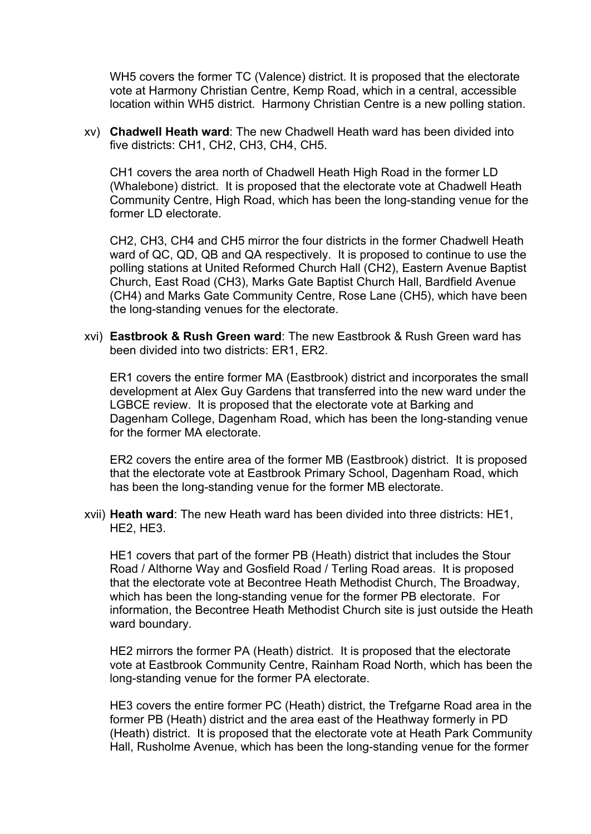WH5 covers the former TC (Valence) district. It is proposed that the electorate vote at Harmony Christian Centre, Kemp Road, which in a central, accessible location within WH5 district. Harmony Christian Centre is a new polling station.

xv) **Chadwell Heath ward**: The new Chadwell Heath ward has been divided into five districts: CH1, CH2, CH3, CH4, CH5.

CH1 covers the area north of Chadwell Heath High Road in the former LD (Whalebone) district. It is proposed that the electorate vote at Chadwell Heath Community Centre, High Road, which has been the long-standing venue for the former LD electorate

CH2, CH3, CH4 and CH5 mirror the four districts in the former Chadwell Heath ward of QC, QD, QB and QA respectively. It is proposed to continue to use the polling stations at United Reformed Church Hall (CH2), Eastern Avenue Baptist Church, East Road (CH3), Marks Gate Baptist Church Hall, Bardfield Avenue (CH4) and Marks Gate Community Centre, Rose Lane (CH5), which have been the long-standing venues for the electorate.

xvi) **Eastbrook & Rush Green ward**: The new Eastbrook & Rush Green ward has been divided into two districts: ER1, ER2.

ER1 covers the entire former MA (Eastbrook) district and incorporates the small development at Alex Guy Gardens that transferred into the new ward under the LGBCE review. It is proposed that the electorate vote at Barking and Dagenham College, Dagenham Road, which has been the long-standing venue for the former MA electorate.

ER2 covers the entire area of the former MB (Eastbrook) district. It is proposed that the electorate vote at Eastbrook Primary School, Dagenham Road, which has been the long-standing venue for the former MB electorate.

xvii) **Heath ward**: The new Heath ward has been divided into three districts: HE1, HE2, HE3.

HE1 covers that part of the former PB (Heath) district that includes the Stour Road / Althorne Way and Gosfield Road / Terling Road areas. It is proposed that the electorate vote at Becontree Heath Methodist Church, The Broadway, which has been the long-standing venue for the former PB electorate. For information, the Becontree Heath Methodist Church site is just outside the Heath ward boundary.

HE2 mirrors the former PA (Heath) district. It is proposed that the electorate vote at Eastbrook Community Centre, Rainham Road North, which has been the long-standing venue for the former PA electorate.

HE3 covers the entire former PC (Heath) district, the Trefgarne Road area in the former PB (Heath) district and the area east of the Heathway formerly in PD (Heath) district. It is proposed that the electorate vote at Heath Park Community Hall, Rusholme Avenue, which has been the long-standing venue for the former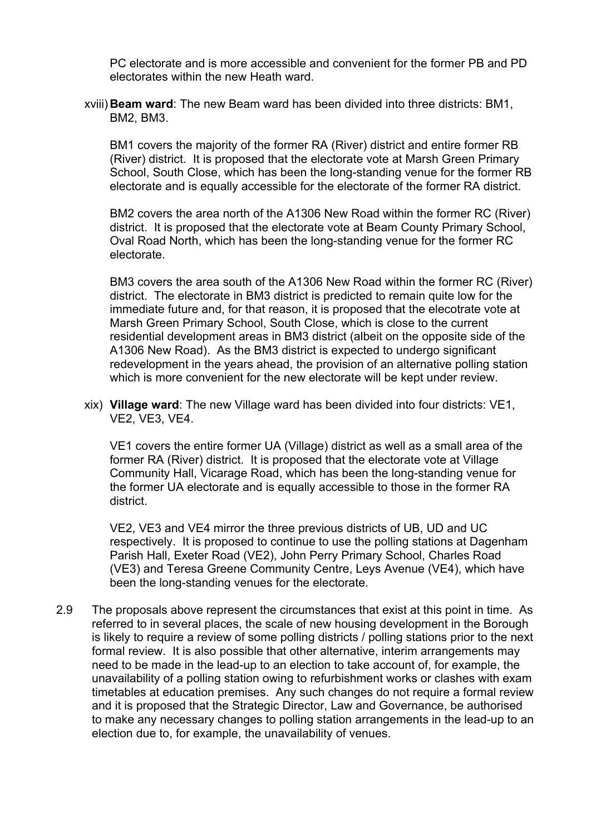PC electorate and is more accessible and convenient for the former PB and PD electorates within the new Heath ward.

xviii)**Beam ward**: The new Beam ward has been divided into three districts: BM1, BM2, BM3.

BM1 covers the majority of the former RA (River) district and entire former RB (River) district. It is proposed that the electorate vote at Marsh Green Primary School, South Close, which has been the long-standing venue for the former RB electorate and is equally accessible for the electorate of the former RA district.

BM2 covers the area north of the A1306 New Road within the former RC (River) district. It is proposed that the electorate vote at Beam County Primary School, Oval Road North, which has been the long-standing venue for the former RC electorate.

BM3 covers the area south of the A1306 New Road within the former RC (River) district. The electorate in BM3 district is predicted to remain quite low for the immediate future and, for that reason, it is proposed that the elecotrate vote at Marsh Green Primary School, South Close, which is close to the current residential development areas in BM3 district (albeit on the opposite side of the A1306 New Road). As the BM3 district is expected to undergo significant redevelopment in the years ahead, the provision of an alternative polling station which is more convenient for the new electorate will be kept under review.

xix) **Village ward**: The new Village ward has been divided into four districts: VE1, VE2, VE3, VE4.

VE1 covers the entire former UA (Village) district as well as a small area of the former RA (River) district. It is proposed that the electorate vote at Village Community Hall, Vicarage Road, which has been the long-standing venue for the former UA electorate and is equally accessible to those in the former RA district.

VE2, VE3 and VE4 mirror the three previous districts of UB, UD and UC respectively. It is proposed to continue to use the polling stations at Dagenham Parish Hall, Exeter Road (VE2), John Perry Primary School, Charles Road (VE3) and Teresa Greene Community Centre, Leys Avenue (VE4), which have been the long-standing venues for the electorate.

2.9 The proposals above represent the circumstances that exist at this point in time. As referred to in several places, the scale of new housing development in the Borough is likely to require a review of some polling districts / polling stations prior to the next formal review. It is also possible that other alternative, interim arrangements may need to be made in the lead-up to an election to take account of, for example, the unavailability of a polling station owing to refurbishment works or clashes with exam timetables at education premises. Any such changes do not require a formal review and it is proposed that the Strategic Director, Law and Governance, be authorised to make any necessary changes to polling station arrangements in the lead-up to an election due to, for example, the unavailability of venues.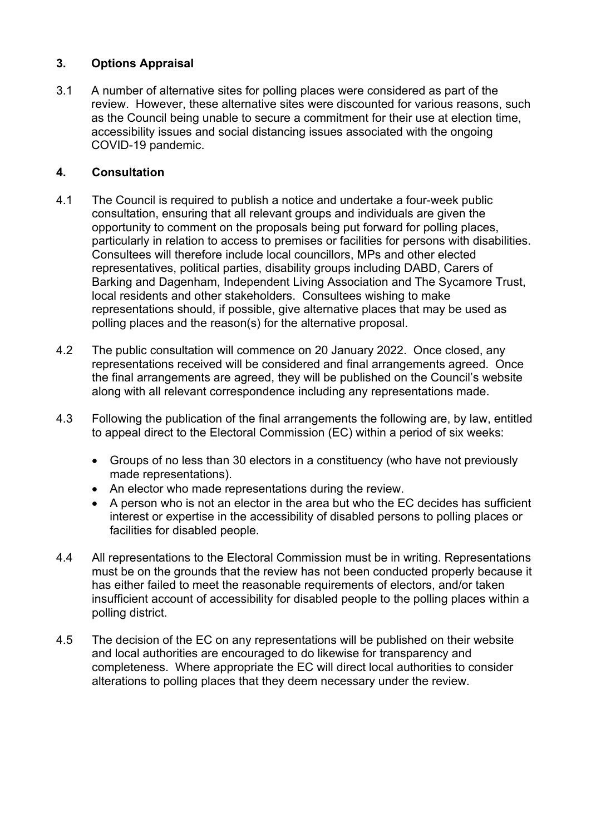# **3. Options Appraisal**

3.1 A number of alternative sites for polling places were considered as part of the review. However, these alternative sites were discounted for various reasons, such as the Council being unable to secure a commitment for their use at election time, accessibility issues and social distancing issues associated with the ongoing COVID-19 pandemic.

# **4. Consultation**

- 4.1 The Council is required to publish a notice and undertake a four-week public consultation, ensuring that all relevant groups and individuals are given the opportunity to comment on the proposals being put forward for polling places, particularly in relation to access to premises or facilities for persons with disabilities. Consultees will therefore include local councillors, MPs and other elected representatives, political parties, disability groups including DABD, Carers of Barking and Dagenham, Independent Living Association and The Sycamore Trust, local residents and other stakeholders. Consultees wishing to make representations should, if possible, give alternative places that may be used as polling places and the reason(s) for the alternative proposal.
- 4.2 The public consultation will commence on 20 January 2022. Once closed, any representations received will be considered and final arrangements agreed. Once the final arrangements are agreed, they will be published on the Council's website along with all relevant correspondence including any representations made.
- 4.3 Following the publication of the final arrangements the following are, by law, entitled to appeal direct to the Electoral Commission (EC) within a period of six weeks:
	- Groups of no less than 30 electors in a constituency (who have not previously made representations).
	- An elector who made representations during the review.
	- A person who is not an elector in the area but who the EC decides has sufficient interest or expertise in the accessibility of disabled persons to polling places or facilities for disabled people.
- 4.4 All representations to the Electoral Commission must be in writing. Representations must be on the grounds that the review has not been conducted properly because it has either failed to meet the reasonable requirements of electors, and/or taken insufficient account of accessibility for disabled people to the polling places within a polling district.
- 4.5 The decision of the EC on any representations will be published on their website and local authorities are encouraged to do likewise for transparency and completeness. Where appropriate the EC will direct local authorities to consider alterations to polling places that they deem necessary under the review.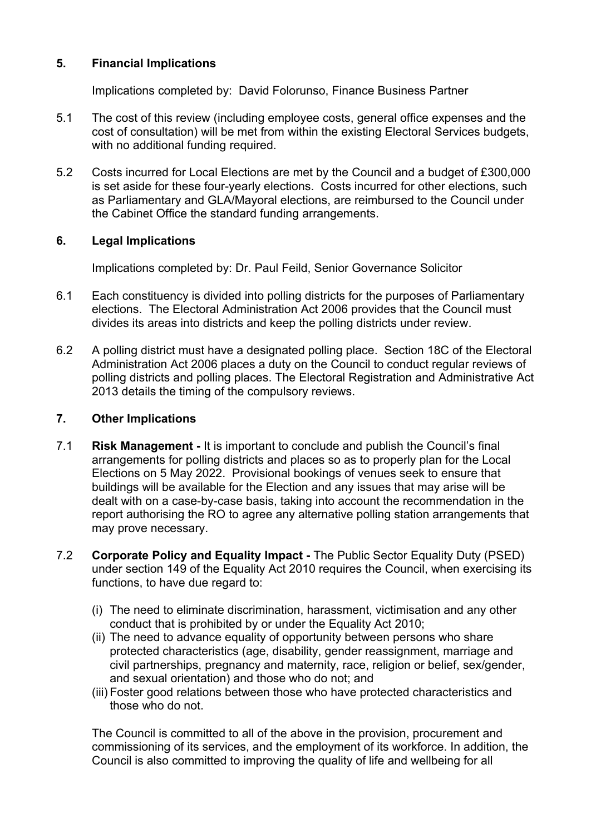#### **5. Financial Implications**

Implications completed by: David Folorunso, Finance Business Partner

- 5.1 The cost of this review (including employee costs, general office expenses and the cost of consultation) will be met from within the existing Electoral Services budgets, with no additional funding required.
- 5.2 Costs incurred for Local Elections are met by the Council and a budget of £300,000 is set aside for these four-yearly elections. Costs incurred for other elections, such as Parliamentary and GLA/Mayoral elections, are reimbursed to the Council under the Cabinet Office the standard funding arrangements.

#### **6. Legal Implications**

Implications completed by: Dr. Paul Feild, Senior Governance Solicitor

- 6.1 Each constituency is divided into polling districts for the purposes of Parliamentary elections. The Electoral Administration Act 2006 provides that the Council must divides its areas into districts and keep the polling districts under review.
- 6.2 A polling district must have a designated polling place. Section 18C of the Electoral Administration Act 2006 places a duty on the Council to conduct regular reviews of polling districts and polling places. The Electoral Registration and Administrative Act 2013 details the timing of the compulsory reviews.

#### **7. Other Implications**

- 7.1 **Risk Management -** It is important to conclude and publish the Council's final arrangements for polling districts and places so as to properly plan for the Local Elections on 5 May 2022. Provisional bookings of venues seek to ensure that buildings will be available for the Election and any issues that may arise will be dealt with on a case-by-case basis, taking into account the recommendation in the report authorising the RO to agree any alternative polling station arrangements that may prove necessary.
- 7.2 **Corporate Policy and Equality Impact -** The Public Sector Equality Duty (PSED) under section 149 of the Equality Act 2010 requires the Council, when exercising its functions, to have due regard to:
	- (i) The need to eliminate discrimination, harassment, victimisation and any other conduct that is prohibited by or under the Equality Act 2010;
	- (ii) The need to advance equality of opportunity between persons who share protected characteristics (age, disability, gender reassignment, marriage and civil partnerships, pregnancy and maternity, race, religion or belief, sex/gender, and sexual orientation) and those who do not; and
	- (iii) Foster good relations between those who have protected characteristics and those who do not.

The Council is committed to all of the above in the provision, procurement and commissioning of its services, and the employment of its workforce. In addition, the Council is also committed to improving the quality of life and wellbeing for all